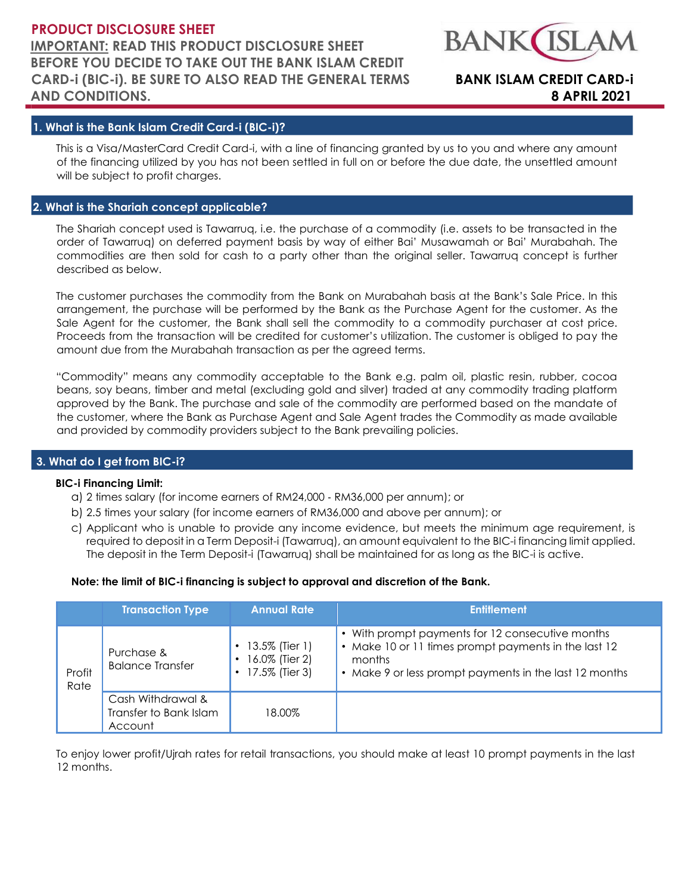## **PRODUCT DISCLOSURE SHEET IMPORTANT: READ THIS PRODUCT DISCLOSURE SHEET BEFORE YOU DECIDE TO TAKE OUT THE BANK ISLAM CREDIT CARD-i (BIC-i). BE SURE TO ALSO READ THE GENERAL TERMS BANK ISLAM CREDIT CARD-i AND CONDITIONS. 8 APRIL 2021**



## **1. What is the Bank Islam Credit Card-i (BIC-i)?**

This is a Visa/MasterCard Credit Card-i, with a line of financing granted by us to you and where any amount of the financing utilized by you has not been settled in full on or before the due date, the unsettled amount will be subject to profit charges.

## **2. What is the Shariah concept applicable?**

The Shariah concept used is Tawarruq, i.e. the purchase of a commodity (i.e. assets to be transacted in the order of Tawarruq) on deferred payment basis by way of either Bai' Musawamah or Bai' Murabahah. The commodities are then sold for cash to a party other than the original seller. Tawarruq concept is further described as below.

The customer purchases the commodity from the Bank on Murabahah basis at the Bank's Sale Price. In this arrangement, the purchase will be performed by the Bank as the Purchase Agent for the customer. As the Sale Agent for the customer, the Bank shall sell the commodity to a commodity purchaser at cost price. Proceeds from the transaction will be credited for customer's utilization. The customer is obliged to pay the amount due from the Murabahah transaction as per the agreed terms.

"Commodity" means any commodity acceptable to the Bank e.g. palm oil, plastic resin, rubber, cocoa beans, soy beans, timber and metal (excluding gold and silver) traded at any commodity trading platform approved by the Bank. The purchase and sale of the commodity are performed based on the mandate of the customer, where the Bank as Purchase Agent and Sale Agent trades the Commodity as made available and provided by commodity providers subject to the Bank prevailing policies.

## **3. What do I get from BIC-i?**

## **BIC-i Financing Limit:**

- a) 2 times salary (for income earners of RM24,000 ‐ RM36,000 per annum); or
- b) 2.5 times your salary (for income earners of RM36,000 and above per annum); or
- c) Applicant who is unable to provide any income evidence, but meets the minimum age requirement, is required to deposit in a Term Deposit-i (Tawarruq), an amount equivalent to the BIC-i financing limit applied. The deposit in the Term Deposit-i (Tawarruq) shall be maintained for as long as the BIC-i is active.

## **Note: the limit of BIC-i financing is subject to approval and discretion of the Bank.**

|                | <b>Transaction Type</b>                                | <b>Annual Rate</b>                                 | <b>Entitlement</b>                                                                                                                                                                                 |
|----------------|--------------------------------------------------------|----------------------------------------------------|----------------------------------------------------------------------------------------------------------------------------------------------------------------------------------------------------|
| Profit<br>Rate | Purchase &<br><b>Balance Transfer</b>                  | 13.5% (Tier 1)<br>16.0% (Tier 2)<br>17.5% (Tier 3) | • With prompt payments for 12 consecutive months<br>Make 10 or 11 times prompt payments in the last 12<br>$\bullet$<br>months<br>Make 9 or less prompt payments in the last 12 months<br>$\bullet$ |
|                | Cash Withdrawal &<br>Transfer to Bank Islam<br>Account | 18.00%                                             |                                                                                                                                                                                                    |

To enjoy lower profit/Ujrah rates for retail transactions, you should make at least 10 prompt payments in the last 12 months.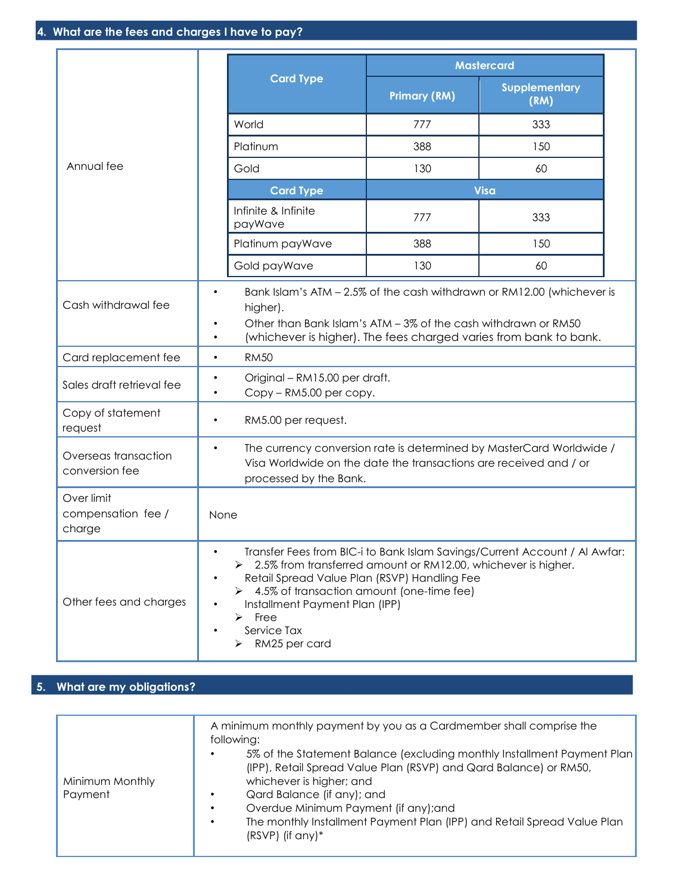|                                            |                        |                                                                                                                                                                                                                                                                          |                     | <b>Mastercard</b>                                                                                                                           |
|--------------------------------------------|------------------------|--------------------------------------------------------------------------------------------------------------------------------------------------------------------------------------------------------------------------------------------------------------------------|---------------------|---------------------------------------------------------------------------------------------------------------------------------------------|
|                                            |                        | <b>Card Type</b>                                                                                                                                                                                                                                                         | <b>Primary (RM)</b> | <b>Supplementary</b><br>(RM)                                                                                                                |
|                                            |                        | World                                                                                                                                                                                                                                                                    | 777                 | 333                                                                                                                                         |
|                                            |                        | Platinum                                                                                                                                                                                                                                                                 | 388                 | 150                                                                                                                                         |
| Annual fee                                 |                        | Gold                                                                                                                                                                                                                                                                     | 130                 | 60                                                                                                                                          |
|                                            |                        | <b>Card Type</b>                                                                                                                                                                                                                                                         |                     | <b>Visa</b>                                                                                                                                 |
|                                            |                        | Infinite & Infinite<br>payWave                                                                                                                                                                                                                                           | 777                 | 333                                                                                                                                         |
|                                            |                        | Platinum payWave                                                                                                                                                                                                                                                         | 388                 | 150                                                                                                                                         |
|                                            |                        | Gold payWave                                                                                                                                                                                                                                                             | 130                 | 60                                                                                                                                          |
| Cash withdrawal fee                        | $\bullet$<br>٠<br>٠    | higher).<br>Other than Bank Islam's ATM - 3% of the cash withdrawn or RM50                                                                                                                                                                                               |                     | Bank Islam's ATM - 2.5% of the cash withdrawn or RM12.00 (whichever is<br>(whichever is higher). The fees charged varies from bank to bank. |
| Card replacement fee                       | $\bullet$              | <b>RM50</b>                                                                                                                                                                                                                                                              |                     |                                                                                                                                             |
| Sales draft retrieval fee                  | ٠<br>$\bullet$         | Original - RM15.00 per draft.<br>Copy - RM5.00 per copy.                                                                                                                                                                                                                 |                     |                                                                                                                                             |
| Copy of statement<br>request               | ٠                      | RM5.00 per request.                                                                                                                                                                                                                                                      |                     |                                                                                                                                             |
| Overseas transaction<br>conversion fee     | $\bullet$              | The currency conversion rate is determined by MasterCard Worldwide /<br>Visa Worldwide on the date the transactions are received and / or<br>processed by the Bank.                                                                                                      |                     |                                                                                                                                             |
| Over limit<br>compensation fee /<br>charge | None                   |                                                                                                                                                                                                                                                                          |                     |                                                                                                                                             |
| Other fees and charges                     | $\bullet$<br>$\bullet$ | > 2.5% from transferred amount or RM12.00, whichever is higher.<br>Retail Spread Value Plan (RSVP) Handling Fee<br>$\triangleright$ 4.5% of transaction amount (one-time fee)<br>Installment Payment Plan (IPP)<br>$\triangleright$ Free<br>Service Tax<br>RM25 per card |                     | Transfer Fees from BIC-i to Bank Islam Savings/Current Account / Al Awfar:                                                                  |

# **5. What are my obligations?**

| Minimum Monthly<br>Payment | A minimum monthly payment by you as a Cardmember shall comprise the<br>following:<br>5% of the Statement Balance (excluding monthly Installment Payment Plan)<br>(IPP), Retail Spread Value Plan (RSVP) and Qard Balance) or RM50,<br>whichever is higher; and<br>Qard Balance (if any); and<br>Overdue Minimum Payment (if any); and<br>The monthly Installment Payment Plan (IPP) and Retail Spread Value Plan<br>$(RSVP)$ (if any)* |
|----------------------------|----------------------------------------------------------------------------------------------------------------------------------------------------------------------------------------------------------------------------------------------------------------------------------------------------------------------------------------------------------------------------------------------------------------------------------------|
|----------------------------|----------------------------------------------------------------------------------------------------------------------------------------------------------------------------------------------------------------------------------------------------------------------------------------------------------------------------------------------------------------------------------------------------------------------------------------|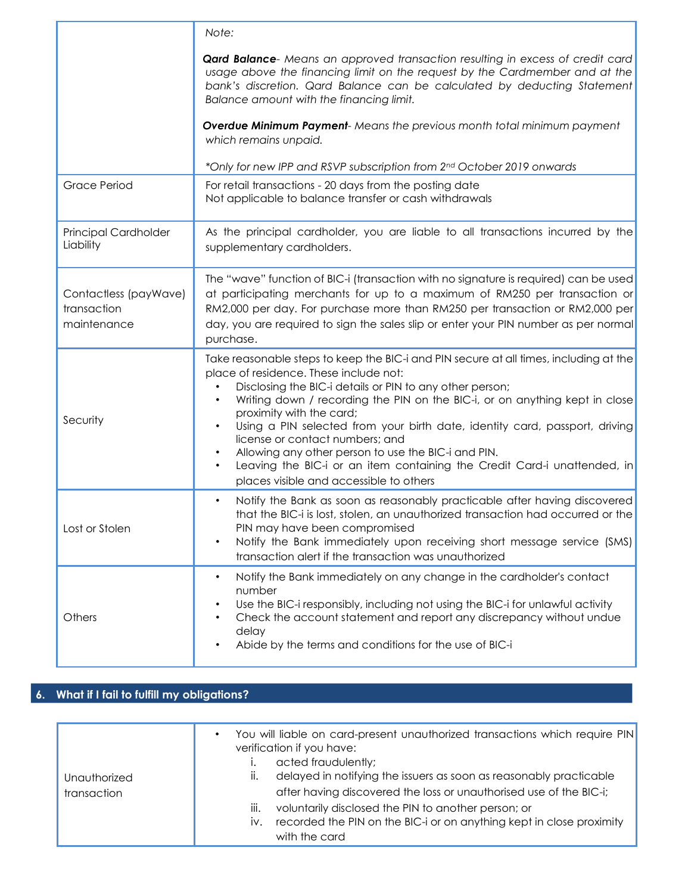|                                                     | Note:                                                                                                                                                                                                                                                                                                                                                                                                                                                                                                                                                                                                               |
|-----------------------------------------------------|---------------------------------------------------------------------------------------------------------------------------------------------------------------------------------------------------------------------------------------------------------------------------------------------------------------------------------------------------------------------------------------------------------------------------------------------------------------------------------------------------------------------------------------------------------------------------------------------------------------------|
|                                                     | <b>Qard Balance</b> - Means an approved transaction resulting in excess of credit card<br>usage above the financing limit on the request by the Cardmember and at the<br>bank's discretion. Qard Balance can be calculated by deducting Statement<br>Balance amount with the financing limit.                                                                                                                                                                                                                                                                                                                       |
|                                                     | <b>Overdue Minimum Payment-</b> Means the previous month total minimum payment<br>which remains unpaid.                                                                                                                                                                                                                                                                                                                                                                                                                                                                                                             |
|                                                     | *Only for new IPP and RSVP subscription from 2nd October 2019 onwards                                                                                                                                                                                                                                                                                                                                                                                                                                                                                                                                               |
| <b>Grace Period</b>                                 | For retail transactions - 20 days from the posting date<br>Not applicable to balance transfer or cash withdrawals                                                                                                                                                                                                                                                                                                                                                                                                                                                                                                   |
| Principal Cardholder<br>Liability                   | As the principal cardholder, you are liable to all transactions incurred by the<br>supplementary cardholders.                                                                                                                                                                                                                                                                                                                                                                                                                                                                                                       |
| Contactless (payWave)<br>transaction<br>maintenance | The "wave" function of BIC-i (transaction with no signature is required) can be used<br>at participating merchants for up to a maximum of RM250 per transaction or<br>RM2,000 per day. For purchase more than RM250 per transaction or RM2,000 per<br>day, you are required to sign the sales slip or enter your PIN number as per normal<br>purchase.                                                                                                                                                                                                                                                              |
| Security                                            | Take reasonable steps to keep the BIC-i and PIN secure at all times, including at the<br>place of residence. These include not:<br>Disclosing the BIC-i details or PIN to any other person;<br>Writing down / recording the PIN on the BIC-i, or on anything kept in close<br>proximity with the card;<br>Using a PIN selected from your birth date, identity card, passport, driving<br>license or contact numbers; and<br>Allowing any other person to use the BIC-i and PIN.<br>Leaving the BIC-i or an item containing the Credit Card-i unattended, in<br>$\bullet$<br>places visible and accessible to others |
| Lost or Stolen                                      | Notify the Bank as soon as reasonably practicable after having discovered<br>that the BIC-i is lost, stolen, an unauthorized transaction had occurred or the<br>PIN may have been compromised<br>Notify the Bank immediately upon receiving short message service (SMS)<br>transaction alert if the transaction was unauthorized                                                                                                                                                                                                                                                                                    |
| Others                                              | Notify the Bank immediately on any change in the cardholder's contact<br>$\bullet$<br>number<br>Use the BIC-i responsibly, including not using the BIC-i for unlawful activity<br>Check the account statement and report any discrepancy without undue<br>delay<br>Abide by the terms and conditions for the use of BIC-i                                                                                                                                                                                                                                                                                           |

# **6. What if I fail to fulfill my obligations?**

| Unauthorized<br>transaction | You will liable on card-present unauthorized transactions which require PIN<br>verification if you have:<br>acted fraudulently;<br>delayed in notifying the issuers as soon as reasonably practicable<br>ΙΙ.<br>after having discovered the loss or unauthorised use of the BIC-i; |
|-----------------------------|------------------------------------------------------------------------------------------------------------------------------------------------------------------------------------------------------------------------------------------------------------------------------------|
|                             | iii.<br>voluntarily disclosed the PIN to another person; or<br>recorded the PIN on the BIC-i or on anything kept in close proximity<br>IV.<br>with the card                                                                                                                        |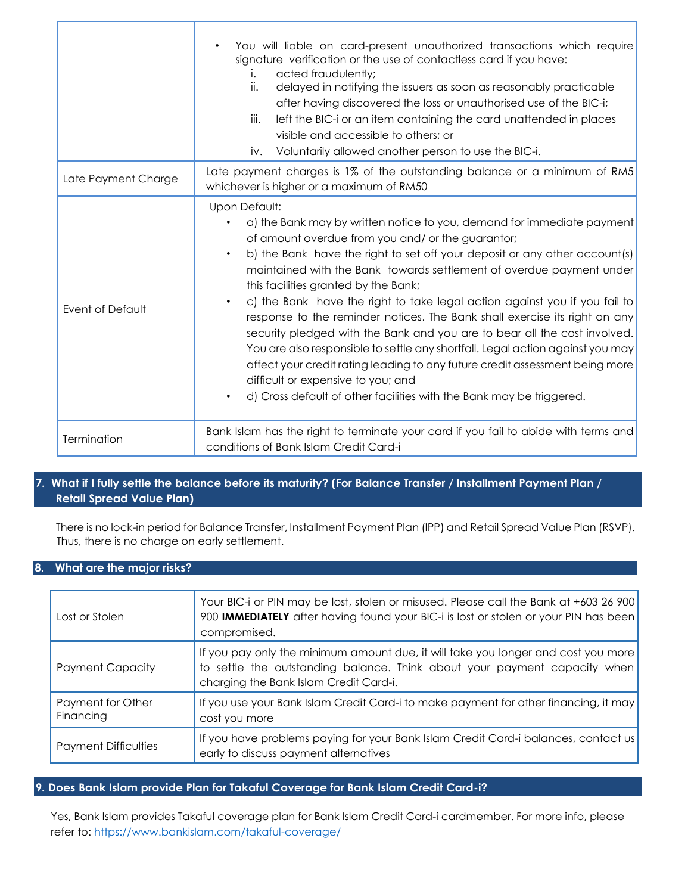|                     | You will liable on card-present unauthorized transactions which require<br>signature verification or the use of contactless card if you have:<br>acted fraudulently;<br>i.<br>ii.<br>delayed in notifying the issuers as soon as reasonably practicable<br>after having discovered the loss or unauthorised use of the BIC-i;<br>iii.<br>left the BIC-i or an item containing the card unattended in places<br>visible and accessible to others; or<br>Voluntarily allowed another person to use the BIC-i.<br>iv.                                                                                                                                                                                                                                                                                                                                                               |  |
|---------------------|----------------------------------------------------------------------------------------------------------------------------------------------------------------------------------------------------------------------------------------------------------------------------------------------------------------------------------------------------------------------------------------------------------------------------------------------------------------------------------------------------------------------------------------------------------------------------------------------------------------------------------------------------------------------------------------------------------------------------------------------------------------------------------------------------------------------------------------------------------------------------------|--|
| Late Payment Charge | Late payment charges is 1% of the outstanding balance or a minimum of RM5<br>whichever is higher or a maximum of RM50                                                                                                                                                                                                                                                                                                                                                                                                                                                                                                                                                                                                                                                                                                                                                            |  |
| Event of Default    | Upon Default:<br>a) the Bank may by written notice to you, demand for immediate payment<br>of amount overdue from you and/ or the guarantor;<br>b) the Bank have the right to set off your deposit or any other account(s)<br>$\bullet$<br>maintained with the Bank towards settlement of overdue payment under<br>this facilities granted by the Bank;<br>c) the Bank have the right to take legal action against you if you fail to<br>response to the reminder notices. The Bank shall exercise its right on any<br>security pledged with the Bank and you are to bear all the cost involved.<br>You are also responsible to settle any shortfall. Legal action against you may<br>affect your credit rating leading to any future credit assessment being more<br>difficult or expensive to you; and<br>d) Cross default of other facilities with the Bank may be triggered. |  |
| Termination         | Bank Islam has the right to terminate your card if you fail to abide with terms and<br>conditions of Bank Islam Credit Card-i                                                                                                                                                                                                                                                                                                                                                                                                                                                                                                                                                                                                                                                                                                                                                    |  |

## **7. What if I fully settle the balance before its maturity? (For Balance Transfer / Installment Payment Plan / Retail Spread Value Plan)**

There is no lock-in period for Balance Transfer, Installment Payment Plan (IPP) and Retail Spread Value Plan (RSVP). Thus, there is no charge on early settlement.

## **8. What are the major risks?**

| Lost or Stolen                 | Your BIC-i or PIN may be lost, stolen or misused. Please call the Bank at +603 26 900<br>900 IMMEDIATELY after having found your BIC-i is lost or stolen or your PIN has been<br>compromised.            |
|--------------------------------|----------------------------------------------------------------------------------------------------------------------------------------------------------------------------------------------------------|
| Payment Capacity               | If you pay only the minimum amount due, it will take you longer and cost you more<br>to settle the outstanding balance. Think about your payment capacity when<br>charging the Bank Islam Credit Card-i. |
| Payment for Other<br>Financing | If you use your Bank Islam Credit Card-i to make payment for other financing, it may<br>cost you more                                                                                                    |
| <b>Payment Difficulties</b>    | If you have problems paying for your Bank Islam Credit Card-i balances, contact us<br>early to discuss payment alternatives                                                                              |

## **9. Does Bank Islam provide Plan for Takaful Coverage for Bank Islam Credit Card-i?**

Yes, Bank Islam provides Takaful coverage plan for Bank Islam Credit Card-i cardmember. For more info, please refer to:<https://www.bankislam.com/takaful-coverage/>